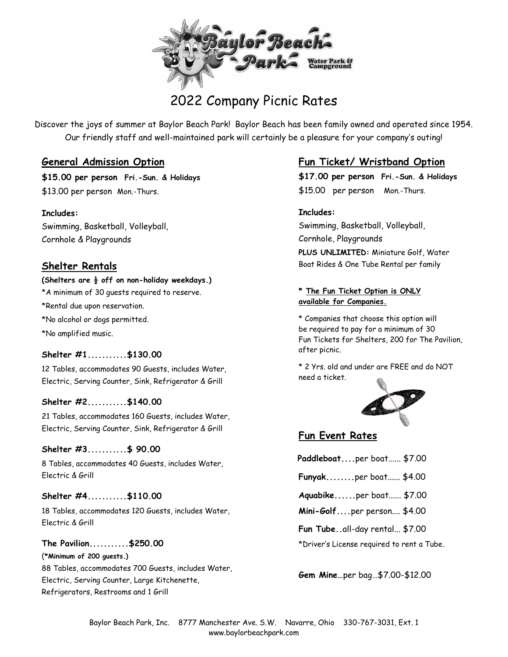

# 2022 Company Picnic Rates

Discover the joys of summer at Baylor Beach Park! Baylor Beach has been family owned and operated since 1954. Our friendly staff and well-maintained park will certainly be a pleasure for your company's outing!

### **General Admission Option**

**\$15.00 per person Fri.-Sun. & Holidays** \$13.00 per person Mon.-Thurs.

**Includes:** Swimming, Basketball, Volleyball, Cornhole & Playgrounds

## **Shelter Rentals**

#### **(Shelters are ½ off on non-holiday weekdays.)**

\*A minimum of 30 guests required to reserve. \*Rental due upon reservation. \*No alcohol or dogs permitted. \*No amplified music.

#### **Shelter #1...........\$130.00**

12 Tables, accommodates 90 Guests, includes Water, Electric, Serving Counter, Sink, Refrigerator & Grill

#### **Shelter #2...........\$140.00**

21 Tables, accommodates 160 Guests, includes Water, Electric, Serving Counter, Sink, Refrigerator & Grill

#### **Shelter #3...........\$ 90.00**

8 Tables, accommodates 40 Guests, includes Water, Electric & Grill

#### **Shelter #4...........\$110.00**

18 Tables, accommodates 120 Guests, includes Water, Electric & Grill

**The Pavilion...........\$250.00** (**\*Minimum of 200 guests.)** 88 Tables, accommodates 700 Guests, includes Water, Electric, Serving Counter, Large Kitchenette, Refrigerators, Restrooms and 1 Grill

## **Fun Ticket/ Wristband Option**

**\$17.00 per person Fri.-Sun. & Holidays** \$15.00 per person Mon.-Thurs.

#### **Includes:**

Swimming, Basketball, Volleyball, Cornhole, Playgrounds **PLUS UNLIMITED:** Miniature Golf, Water Boat Rides & One Tube Rental per family

#### **\* The Fun Ticket Option is ONLY available for Companies.**

\* Companies that choose this option will be required to pay for a minimum of 30 Fun Tickets for Shelters, 200 for The Pavilion, after picnic.

\* 2 Yrs. old and under are FREE and do NOT need a ticket.



## **Fun Event Rates**

| Paddleboatper boat \$7.00 |  |  |
|---------------------------|--|--|
|                           |  |  |

**Funyak........**per boat...... \$4.00

- **Aquabike......**per boat...... \$7.00
- **Mini-Golf....**per person.... \$4.00

**Fun Tube..**all-day rental... \$7.00

\*Driver's License required to rent a Tube**.**

**Gem Mine…**per bag…\$7.00-\$12.00